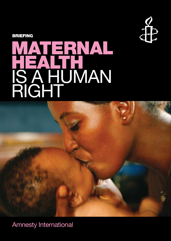

Briefing

# MATERNAL HEALTH IS A HUMAN RIGHT



Amnesty International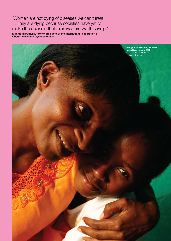'Women are not dying of diseases we can't treat. ... They are dying because societies have yet to make the decision that their lives are worth saving.'

**Mahmoud Fathalla, former president of the International Federation of Obstetricians and Gynaecologists**

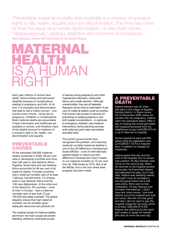'Preventable maternal mortality and morbidity is a violation of women's rights to life, health, equality and non-discrimination. The time has come to treat this issue as a human rights violation, no less than torture, "disappearances," arbitrary detention and prisoners of conscience.' **Mary Robinson, former UN Commissioner for Human Rights**



Each year millions of women face death, serious illness and permanent disability because of complications relating to pregnancy and birth. At its root, it is inequality and discrimination that lead to half a million women – one women every minute – dying due to pregnancy, childbirth or complications. Most maternal deaths are preventable if basic information and healthcare are available to women, and therefore many of the deaths amount to violations of a woman's right to life, health, nondiscrimination and equality.

### preventable **CAUSES**

Of the estimated 536,000 maternal deaths worldwide in 2005, 99 per cent were in developing countries and more than half were in sub-Saharan Africa. Together, South Asia and sub-Saharan Africa accounted for 86 per cent of all maternal deaths. Fourteen countries had a maternal mortality ratio of at least 1,000 per 100,000 births; 13 of these were in sub-Saharan Africa and the 14th was Afghanistan. At the other end of the spectrum, 30 countries – most of them in Europe – had a maternal mortality ratio of less than 10 per 100,000 (see table overleaf). The global disparity shows that high maternal mortality can be avoided, given adequate resources and political will.

The medical causes of maternal deaths are known: the main causes are severe bleeding, infections, eclampsia (a type

of seizure during pregnancy) and other hypertensive disorders, obstructed labour and unsafe abortion. Although unpredictable, they are all treatable. Research shows that an estimated 74 per cent of maternal deaths could be averted if all women had access to services for preventing or treating pregnancy and birth related complications – in particular to emergency obstetric care (medical intervention), family planning services, ante-natal and post-natal care (before and after birth).

The world's governments have recognised the problem, and reducing maternal mortality (maternal deaths) is one of the UN Millennium Development Goals (MDGs) – a set of internationally agreed targets to reduce poverty. Millennium Development Goal 5 seeks to cut maternal mortality by 75 per cent from its 1990 levels by 2015. But of all the MDGs, this is the one where least progress has been made.

## EVENTABLE DE

Adama Kamara was 25 when she died in the village of Kapairo, Kambia district, in Sierra Leone. On 24 December 2008, about six months into her pregnancy, Adama went into premature labour. After a day of hoping she would get better, her husband borrowed from his neighbours to pay Le40,000 (£7) for a car to take her to hospital.

At the hospital he paid Le2,000 (about 35p) for registration and Le10,000 (£1.75) for a hospital bed, in addition to charges for medicines.

Adama spent that day and the next in the hospital, but no doctor was present. Pa Abu Kamara went home on the second day. When he returned to the hospital several hours later, he found that Adama had delivered the baby, but it had died. Adama was bleeding heavily. Although it was an emergency and the government has a free care policy, there was no free medication. Pa Abu Kamara told Amnesty International, 'I didn't have any more money. I just took Adama out of the hospital and took her home. She did not look good and also I did not want to pay the hospital charge for her body which is at least Le60,000 [£10.55].' Adama was delirious by this point and unable to speak for herself. She died at home the next day.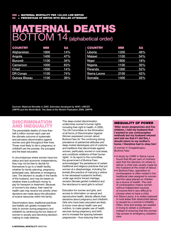## Maternal deaths  $\overline{\mathsf{BOTTOM14}}$  (alphabetical order)

| <b>COUNTRY</b>       | MМ   | <b>SA</b> |
|----------------------|------|-----------|
| <b>Afghanistan</b>   | 1800 | 14%       |
| Angola               | 1400 | 47%       |
| <b>Burundi</b>       | 1100 | 34%       |
| Cameroon             | 1000 | 63%       |
| Chad                 | 1500 | 14%       |
| <b>DR Congo</b>      | 1100 | 74%       |
| <b>Guinea Bissau</b> | 1100 | 39%       |

| <b>COUNTRY</b>      | MМ   | SА  |
|---------------------|------|-----|
| Liberia             | 1200 | 46% |
| <b>Malawi</b>       | 1100 | 54% |
| <b>Niger</b>        | 1800 | 18% |
| <b>Nigeria</b>      | 1100 | 35% |
| Rwanda              | 1300 | 52% |
| <b>Sierra Leone</b> | 2100 | 42% |
| <b>Somalia</b>      | 1400 | 33% |

*sources: Maternal Mortality in 2005. Estimates developed by WHO, UNICEF, UNFPA and the World Bank. The State of the World's Popluation 2009, UNFPA*

## **DISCRIMINATION** and inequality

The preventable deaths of more than half a million women each year are the ultimate outcome of systematic and pervasive discrimination against women and girls throughout their lives. Those most likely to die in pregnancy or childbirth are the poorest, the youngest and the least educated.

In circumstances where women have low status and lack economic independence, they may not be free to decide for themselves to go to a health facility, whether for family planning, pregnancy (antenatal) care, deliveries or emergency care. The decision is usually in the hands of the husband, and may be based on whether there is sufficient money to pay for transport or treatment. Because of women's low status, their need for health care may receive low priority when decisions are made about the allocation of scarce resources within the family.

Discriminatory laws, traditional practices and beliefs can greatly increase the risks to women during pregnancy and childbirth by reinforcing the low status of women in society and devolving decisionmaking to male relatives.

This deep-rooted discrimination undermines women's human rights including their right to health. In 2005, The UN Committee on the Elimination of all forms of Discrimination Against Women expressed concern about Burkina Faso for 'the continuing strong prevalence of patriarchal attitudes and deep-rooted stereotypes and of customs and traditions that discriminate against women, particularly women in rural areas, and constitute violations of their human rights'. In its report to the committee, the government of Burkina Faso acknowledged 'the persistence of certain traditional and religious practices that put women at a disadvantage, including the *levirate* (the practice of marrying a widow to her deceased husband's brother), under age and/or forced marriage, excision (female genital mutilation) and the reluctance to send girls to school'.

Education for women and girls, and access to information on sexual and reproductive health, directly affects their decisions about pregnancy and childbirth. Girls who have been educated are likely to know more about health care and nutrition, to make greater use of health services during pregnancy and birth, and to increase the spacing between pregnancies – thus reducing their risk

#### Inequality of power

**'After seven pregnancies and five children, I told my husband that I wanted to use contraceptive methods but my husband refused and told me that if I did this, I should return to my mother's home. I therefore had to obey him'** 

A woman in Ouagadougou, Burkina Faso

- A study by CARE in Sierra Leone found that 68 per cent of mothers said that the decision on where to deliver a child was usually made by the husband at the onset of labour.
- In Burkina Faso, opposition to contraception is often rooted in the traditional roles assigned to women and the value placed on children as a source of wealth. The cost of contraception means women without independent sources of income find it very difficult to choose when to have a child.
- In Sierra Leone, it is widely believed in rural areas that obstructed labour is caused by a woman's infidelity. Often, time and energy are wasted in trying to obtain a confession instead of ensuring that the woman has access to emergency obstetric care.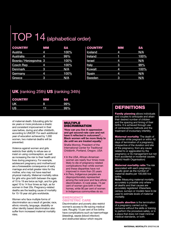## TOP 14 (alphabetical order)

| <b>COUNTRY</b>         | MМ | <b>SA</b> |
|------------------------|----|-----------|
| Austria                | 4  | 100%      |
| Australia              | 4  | 99%       |
| Bosnia / Herzegovina 3 |    | 100%      |
| <b>Czech Rep</b>       | 4  | 100%      |
| <b>Denmark</b>         | 3  | N/A       |
| Germany                | 4  | 100%      |
| Greece                 | 3  | N/A       |

| MМ | <b>SA</b> |  |
|----|-----------|--|
| 4  | N/A       |  |
|    | 100%      |  |
| 4  | N/A       |  |
| 3  | 99%       |  |
| 4  | 100%      |  |
| 4  | N/A       |  |
| 3  | N/A       |  |
|    |           |  |

## UK (ranking 25th) US (ranking 34th)

| <b>COUNTRY</b> | MM | <b>SA</b> |
|----------------|----|-----------|
| UK             | 8  | 99%       |
| <b>US</b>      | 61 | $99\%$    |

of maternal death. Educating girls for six years or more produces a drastic and consistent improvement in their care before, during and after childbirth, according to UNICEF. For each additional year of education achieved by 1,000 women, two maternal deaths will be prevented.

Violence against women and girls restricts their ability to refuse sex or insist on using contraception, as well as increasing the risk to their health and lives during pregnancy. For example, adolescent pregnancy and motherhood are a foreseeable consequence of early marriage and entail greater risks for the mother, who may not have reached physical maturity. Maternal mortality ratios for girls who give birth between the ages of 15 to 19 are twice as high, and for girls aged 10 to 14 four times as high, as for women in their 20s. Pregnancy-related deaths are the leading cause of mortality for 15-19 year old girls worldwide.

Women who face multiple forms of discrimination as a result of gender, race, ethnic minority, language, disability or other identity based discrimination also suffer from increased maternal mortality risks.

#### **MULTIPLE DISCRIMINATION**

**'How can you live in oppression and get second-rate care and not have it reflected in outcomes?… Black women will be more likely to die until we are treated equally.'** 

Shafia Monroe, President of the International Center for Traditional Childbirth, Portland, Oregon, USA

- In the USA, African-American women are nearly four times more likely to die of pregnancy-related complications than white women and these disparities have not improved in more than 20 years
- In Peru, Indigenous peoples are disproportionately represented among the rural poor and face ethnic discrimination. In rural areas, 74 per cent of women give birth in their homes, while 90 per cent of women in Indigenous communities do so.

#### **EMERGENCY** obstetric care

Discrimination and poverty also restrict women's access to life-saving medical care. Roughly 15 per cent of live births have complications such as haemorrhage (bleeding), sepsis (blood infection) and obstructed labour which require

## Definitions

**Family planning allows individuals** and couples to anticipate and attain their desired number of children and the spacing and timing of their births. It is achieved through use of contraceptive methods and the treatment of involuntary infertility.

Maternal mortality 'The death of a woman while pregnant or within 42 days of termination of a pregnancy, irrespective of the duration and site of the pregnancy, from any cause related to or aggravated by the pregnancy or its management but not from accidental or incidental causes. (World Health Organisation)

**Maternal mortality ratio The risk** associated with each pregnancy, usually given as the number of maternal deaths per 100,000 live births.

*Note: Measuring maternal mortality accurately is possible only where all deaths and their causes are accurately registered. Elsewhere, census, surveys or models have to be used to estimate levels of maternal mortality.*

Unsafe abortion is the termination of a pregnancy carried out by someone without the skills or training to perform the procedure safely, or in a place that does not meet minimal medical standards, or both.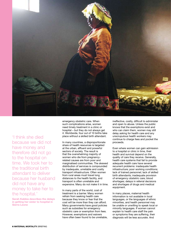

'I think she died because we did not have money and therefore did not go to the hospital on time. We took her to the traditional birth attendant to deliver because her husband did not have any money to take her to the hospital.'

**Sarah Kabbia describes the delays in getting her sister to hospital in Sierra Leone**

emergency obstetric care. When such complications arise, women need timely treatment in a clinic or hospital – but they do not always get it. Worldwide, four out of 10 births take place without a skilled birth attendant.

In many countries, a disproportionate share of health resources is targeted at the urban, affluent and powerful sectors of society. The result is that the overwhelming majority of women who die from pregnancyrelated causes are from poor and marginalised communities. The skewed distribution of services is compounded by inadequate, unreliable and costly transport infrastructure. Often women from rural areas must travel long distances to the health facility, and transport is often unreliable and expensive. Many do not make it in time.

In many parts of the world, cost of treatment is a barrier. Many women refrain from seeking health care because they know or fear that the cost will be more than they can afford. Many governments have good policies such as subsidies for emergency obstetric care or exemption from fees. However, exemptions and waivers have often been found to be unreliable, ineffective, costly, difficult to administer and open to abuse. Unless the public knows that the exemptions exist and who can claim them, women may still delay asking for health care and any unscrupulous health workers may continue to charge fees and pocket the proceeds.

Even where women can gain admission to a hospital or clinic in time, their health and survival depend on the quality of care they receive. Generally, health care systems that fail to provide adequate health care have several recurrent problems: inadequate health infrastructure; poor working conditions; lack of trained personnel; lack of skilled birth attendants; inadequate provision of emergency obstetric care; blood shortages; delays in referral decisions and shortages of drugs and medical equipment.

In many places, maternal health information is not available in local languages, or the languages of ethnic minorities, and health personnel may be unable or unwilling to speak local or minority languages. If women cannot explain to health care staff the pain or symptoms they are suffering, their diagnosis will be less accurate. And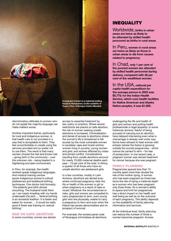

discriminatory attitudes to women who do not speak the majority language can make matters worse.

Another important barrier, particularly for rural and Indigenous women, is that health care is not provided in a way that is acceptable to them. They feel uncomfortable or unsafe using the services provided and so prefer not to use them. The result is that many women choose the real and known risk – giving birth in the community – over the unknown risk – being treated in a frightening and alien environment.

In Peru, for example, few health workers speak Indigenous languages. And medical training centres ignore Indigenous women's cultural preferences and traditional birthing techniques. One doctor told Amnesty: 'The patients give birth almost crouching. The husband holds them up. I am nearly kneeling with my hands underneath the skirt … Vertical birthing is an ancestral tradition. It is faster and easier for women … It would be really good if there was training on vertical birthing.'

#### Ban on safe abortion

In some countries, women are denied

access to essential treatment by law, policy or practice. Where severe restrictions are placed on safe abortion, the risk of women seeking unsafe abortions is increased. Criminalisation and denial of access to abortions where the woman's life is threatened is felt acutely by the most vulnerable women in societies: rape and incest victims; women living in poverty; young women and girls; and women affected by crises and armed conflict. Complications resulting from unsafe abortions account for nearly 70,000 maternal deaths each year – 13 per cent of the total. In Africa, a quarter of all those who have an unsafe abortion are adolescent girls.

In a few countries, mostly in Latin America, abortions are denied even where continued pregnancy risks the life or health of the women or girl or when pregnancy is a result of rape or incest. Whatever the circumstances or risks, girls and women are compelled to carry pregnancies to term, even young girls who are physically unable to carry a pregnancy to term and even when the foetus has severe abnormalities and no prospect of survival.

For example, the revised penal code of Nicaragua criminalises all abortions,

## **INEQUALITY**

Worldwide, **births in urban areas are twice as likely to be attended by skilled health personnel as births in rural areas.**

In Peru, **women in rural areas are twice as likely as those in urban areas to die from causes related to pregnancy.**

In Chad, **only 1 per cent of the poorest women are attended by skilled health personnel during delivery, compared with 48 per cent of the wealthiest women.**

In the USA, **national per capita health expenditure for the average person in 2003 was \$5,775; for the Indian Health Service, which runs health facilities for Native American and Alaska Native peoples, it was \$1,900.**

endangering the life and health of girls and women and putting health professionals in legal jeopardy. In some instances doctors, fearful of being accused of carrying out an abortion, have delayed intervening even when a miscarriage is already well under way. Some have refused to treat women with ectopic (where the foetus is growing outside the womb) pregnancies – which cannot be carried to term – for fear of prosecution. In one recent case, a pregnant woman was denied treatment for cancer because she was pregnant.

#### Family planning

Pregnancies spaced less than 15 months apart more than double the risk of the mother dying. A woman who has been pregnant six times has twice the risk of dying a maternal death as a woman who has been pregnant only three times. So a woman's ability to space and limit her pregnancies has a direct impact on her health and well-being as well as on the outcome of each pregnancy. This ability depends on the availability of family planning information and services.

At the individual level, family planning can reduce the number of times a woman becomes pregnant. Access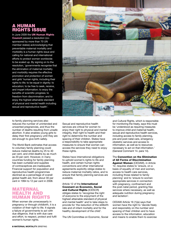## A HUMAN RIGHTS ISSUE

In June 2009 the UN Human Rights Council passed a resolution (cosponsored by more than 70 UN member states) acknowledging that preventable maternal mortality and morbidity is a human rights issue and calling for national and international efforts to protect women worldwide to be scaled up. By signing on to the resolution, 'governments recognise that the elimination of maternal mortality and morbidity requires the effective promotion and protection of women and girls' human rights, including their rights to life; to be equal in dignity; to education; to be free to seek, receive, and impart information; to enjoy the benefits of scientific progress; to freedom from discrimination; and to enjoy the highest attainable standard of physical and mental health including sexual and reproductive health'.

to family planning services also reduces the number of unintended and unwanted pregnancies, and thus the number of deaths resulting from unsafe abortion. It also enables young girls to delay their first pregnancy until they are old enough to give birth safely.

The World Bank estimates that access to voluntary family planning could reduce maternal deaths by 25 to 40 per cent, and child deaths by as much as 20 per cent. However, in many countries funding for family planning has been curtailed and supplies of contraceptives are inadequate. Financial support for population and reproductive health programmes declined as a percentage of overall global health aid, from about 30 per cent in 1994 to 12 per cent in 2008.

## $M_A$ health and human rights

When women die unnecessarily in pregnancy or through childbirth, it is a violation of their right to life. It signals a failure of governments to act with due diligence, that is with due care and effort, to respect, protect and fulfil women's human rights.



Sexual and reproductive health services are critical for women to enjoy their right to physical and mental integrity, their right to health and their right to determine the number and spacing of their children. States have a responsibility to take appropriate measures to ensure that women can access the services they need to enjoy these rights.

States have international obligations to uphold women's rights to life and health, and certain human rights conventions and other international agreements explicitly oblige states to reduce maternal mortality ratios, and to ensure that family planning services are available.

Article 12 of the International Covenant on Economic, Social and Cultural Rights (ICESCR) obliges states to 'recognise the right of everyone to the enjoyment of the highest attainable standard of physical and mental health' and to take steps to provide for 'the reduction of the stillbirth rate and of infant mortality and for the healthy development of the child'.

The UN Committee on Economic, Social

and Cultural Rights, which is responsible for monitoring the treaty, says this must be 'understood as requiring measures to improve child and maternal health, sexual and reproductive health services, including access to family planning, pre-and post-natal care, emergency obstetric services and access to information, as well as to resources necessary to act on that information.' (General Comment 14. para 14).

The Convention on the Elimination of All Forms of Discrimination Against Women (CEDAW), in Article 12, requires states to 'ensure, on a basis of equality of men and women, access to health care services, including those related to family planning' and to 'ensure to women appropriate services in connection with pregnancy, confinement and the post-natal period, granting free services where necessary, as well as adequate nutrition during pregnancy and lactation'.

CEDAW Article 16 (1)(e) says that women have the right to 'decide freely and responsibly on the number and spacing of their children and to have access to the information, education and means to enable them to exercise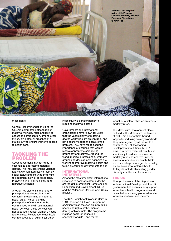

these rights'.

General Recommendation 24 of the CEDAW committee notes that high maternal mortality rates and lack of access to contraception, among other things, are potential breaches of a state's duty to ensure women's access to health care.

## Tackling the problem

Securing women's human rights is essential to addressing maternal deaths. This includes ending violence against women, addressing their low social status and ensuring their right to education, as well as respecting, protecting and fulfilling sexual and reproductive rights.

Another key element is the right to participation and consultation of women in the planning of maternal health care. Without genuine participation of women from the communities who will use maternal health services, those services will not adequately reflect women's needs and choices. Reluctance to use health centres because of cultural (or other)

insensitivity is a major barrier to reducing maternal deaths.

Governments and international organisations have known for years that the vast majority of maternal deaths worldwide are preventable, and have acknowledged the scale of the problem. They have recognised the importance of ensuring that women receive appropriate care during pregnancy and delivery. Around the world, medical professionals, women's groups and development agencies are working to improve maternal health and to put pressure on governments to act.

#### International initiatives

Among the most important international initiatives to combat maternal deaths are the UN International Conference on Population and Development (ICPD) and the Millennium Development Goals (MDGs).

The ICPD, which took place in Cairo in 1994, adopted a 20-year Programme of Action which focused on individuals' needs and rights, rather than on demographic targets. The programme includes goals for education – especially for girls – and for the

reduction of infant, child and maternal mortality rates.

The Millennium Development Goals, outlined in the Millennium Declaration of 2000, are a set of time-bound targets for reducing poverty worldwide. They were agreed by all the world's countries, and all the leading development institutions. MDG 5 aims to improve maternal health, and specifically to reduce the maternal mortality ratio and achieve universal access to reproductive health. MDG 3, which aims to promote gender equality, is also relevant to maternal health. Its targets include eliminating gender disparity at all levels of education.

#### The UK

Through the work of the Department for International Development, the UK government has been a strong support for maternal health programmes and has acted as a strong global advocate for measures to reduce maternal deaths.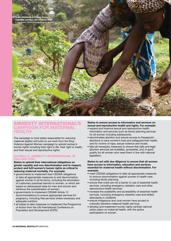

## TY INTERNATIO **campaign for maternal health**

The campaign to hold states responsible for reducing maternal deaths will build on our work from the Stop Violence Against Women campaign to uphold women's human rights including their right to life, their right to health, and their sexual and reproductive rights.

#### Globally, Amnesty International is calling for:

**States to uphold their international obligations on gender equality and non-discrimination and to respect, protect and fufil women's human rights as critical to reducing maternal mortality. For example:**

- governments to implement their CEDAW obligations to take all appropriate measures to end discrimination against women in all its forms, including the elimination of customary practices harmful to women, or which are based on stereotyped roles for men and women and reinforce the subordination of women;
- governments to implement CEDAW Article 12 recommendations to ensure appropriate services for pregnancy, including free services where necessary and adequate nutrition;
- all states to take measures to implement the Programme of Action from the UN International Conference on Population and Development (ICPD)

#### **States to ensure access to information and services on sexual and reproductive health and rights. For example:**

- expand and improve sexual and reproductive health information and services such as family planning services for all women including adolescents;
- decriminalise abortion and ensure access to therapeutic abortions to save women's lives and safeguard their health, and for victims of rape, sexual violence and incest;
- take all necessary measures to ensure that safe and legal abortion services are available, accessible, and of good quality for all women who need them in line with national legislation.

#### **States to act with due diligence to ensure that all women have access to information, education and services essential for maternal health without discrimination. For example:**

- meet CEDAW obligations to take all appropriate measures to remove discrimination against women in health care, including family planning;
- ensure that costs are not a barrier to use of essential health services, including emergency obstetric care and other reproductive health services;
- increase the availability and accessibility of essential health services, including emergency obstetric care and skilled attendants in childbirth.
- ensure Indigenous and rural women have access to culturally sensitive maternal health services.
- develop and implement human rights centred national action plans on maternal health, with the active participation of women.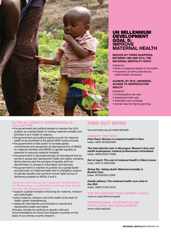

#### In the UK, Amnesty International is calling for:

- the government and political parties to maintain the UK's position as a global leader on ending maternal mortality and prioritise it as a matter of urgency;
- the government and political parties to push for maternal health to be prioritised in the global MDG review process;
- the government to take action to increase global commitments and recognition at international fora of MDG5 on maternal mortality and MDG3 on gender equality as essential to reducing maternal mortality;
- the government to advocate strongly at international fora for women's sexual and reproductive health and rights, including family planning and the principle of equality and nondiscrimination in access to information and services;
- the government to maintain its position as a global leader and advocate on maternal health and to strengthen support for gender equality and women's human rights as key to delivering progress on MDGs 3 and 5.

#### Amnesty International UK supported the Manifesto for Motherhood – a joint NGO manifesto that details how the UK government can

- support a global increase in financing for maternal, newborn and child health;
- place maternal, newborn and child health at the heart of health system strengthening;
- realise its international commitments on sexual and reproductive health and rights.

Amnesty will also be working on specific calls and recommendations for donor and recipient countries on the basis of our primary country research.

## UN Millennium Development **GOAL 5: Improve Maternal Health**

#### **Reduce by three quarters, between 1990 and 2015, the maternal mortality ratio**

- *Indicators:*
- Ratio of maternal deaths to live births
- Proportion of births attended by skilled health personnel

#### **Achieve, by 2015, universal access to reproductive health**

*Indicators:* 

- Contraceptive use rate
- Adolescent birth rate
- Antenatal care coverage
- Unmet need for family planning

## Find out more

www.amnesty.org.uk/maternalhealth

#### Amnesty reports

*Fatal flaws: Barriers to maternal health in Peru* Index: AMR 46/008/2009

*The total abortion ban in Nicaragua: Women's lives and health endangered, medical professionals criminalized* Index: AMR/43/001/2009

*Out of reach: The cost of maternal health in Sierra Leone* Index: AFR 51/005/2009

*Giving life, risking death: Maternal mortality in Burkina Faso* Index: AFR/60/001/2009

*Deadly delivery: The maternal health care crisis in the USA* Index: AMR 51/007/2010

The Millennium Development Goals www.un.org/millenniumgoals

#### International Conference on Population and Development

www.unfpa.org/icpd